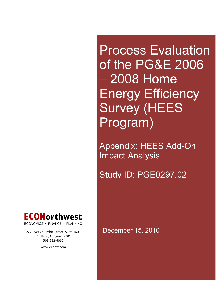Process Evaluation of the PG&E 2006 – 2008 Home Energy Efficiency Survey (HEES Program)

Appendix: HEES Add-On Impact Analysis

Study ID: PGE0297.02



Portland, Oregon 97201 503=222=6060

www.econw.com

2222 SW Columbia Street, Suite 1600 December 15, 2010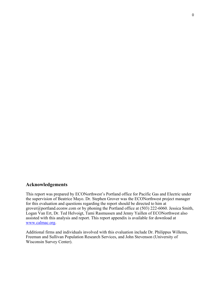## **Acknowledgements**

This report was prepared by ECONorthwest's Portland office for Pacific Gas and Electric under the supervision of Beatrice Mayo. Dr. Stephen Grover was the ECONorthwest project manager for this evaluation and questions regarding the report should be directed to him at grover@portland.econw.com or by phoning the Portland office at (503) 222-6060. Jessica Smith, Logan Van Ert, Dr. Ted Helvoigt, Tami Rasmussen and Jenny Yaillen of ECONorthwest also assisted with this analysis and report. This report appendix is available for download at www.calmac.org.

Additional firms and individuals involved with this evaluation include Dr. Philippus Willems, Freeman and Sullivan Population Research Services, and John Stevenson (University of Wisconsin Survey Center).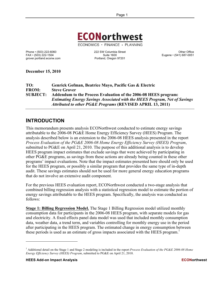

ECONOMICS · FINANCE · PLANNING

grover.portland.econw.com

Phone • (503) 222-6060 222 SW Columbia Street Chine of Chine Office<br>FAX • (503) 222-1504 222 SW Columbia Street Chine of Chine Office Suite 1600 222 SW Columbia Street Suite 1600<br>
Portland, Oregon 97201<br>
Portland, Oregon 97201

**December 15, 2010**

**TO: Genrick Gofman, Beatrice Mayo, Pacific Gas & Electric FROM: Steve Grover SUBJECT: Addendum to the Process Evaluation of the 2006-08 HEES program:**  *Estimating Energy Savings Associated with the HEES Program, Net of Savings Attributed to other PG&E Programs* **(REVISED APRIL 13, 2011)**

# **INTRODUCTION**

This memorandum presents analysis ECONorthwest conducted to estimate energy savings attributable to the 2006-08 PG&E Home Energy Efficiency Survey (HEES) Program. The analysis described below is an extension to the 2006-08 HEES analysis presented in the report *Process Evaluation of the PG&E 2006-08 Home Energy Efficiency Survey (HEES) Program*, submitted to PG&E on April 21, 2010. The purpose of this additional analysis is to develop HEES program impact estimates that exclude savings that were achieved by participating in other PG&E programs, as savings from these actions are already being counted in these other programs' impact evaluations. Note that the impact estimates presented here should only be used for the HEES program, or possibly a similar program that provides the same type of in-depth audit. These savings estimates should not be used for more general energy education programs that do not involve an extensive audit component.

For the previous HEES evaluation report, ECONorthwest conducted a two-stage analysis that combined billing regression analysis with a statistical regression model to estimate the portion of energy savings attributable to the HEES program. Specifically, the analysis was conducted as follows:

**Stage 1: Billing Regression Model.** The Stage 1 Billing Regression model utilized monthly consumption data for participants in the 2006-08 HEES program, with separate models for gas and electricity. A fixed effects panel data model was used that included monthly consumption data, weather data, a trend term, and variables controlling for monthly energy use in the period after participating in the HEES program. The estimated change in energy consumption between these periods is used as an estimate of gross impacts associated with the HEES program.<sup>1</sup>

 $\overline{a}$ 

<sup>1</sup> Additional detail on the Stage 1 and Stage 2 modeling is included in the report *Process Evaluation of the PG&E 2006-08 Home Energy Efficiency Survey (HEES) Program*, submitted to PG&E on April 21, 2010.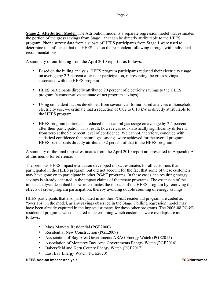**Stage 2: Attribution Model.** The Attribution model is a separate regression model that estimates the portion of the gross savings from Stage 1 that can be directly attributable to the HEES program. Phone survey data from a subset of HEES participants from Stage 1 were used to determine the influence that the HEES had on the respondent following through with individual recommendations.

A summary of our finding from the April 2010 report is as follows:

- Based on the billing analysis, HEES program participants reduced their electricity usage on average by 2.3 percent after their participation, representing the gross savings associated with the HEES program.
- HEES participants directly attributed 20 percent of electricity savings to the HEES program (a conservative estimate of net program savings).
- Using coincident factors developed from several California-based analyses of household electricity use, we estimate that a reduction of 0.02 to 0.10 kW is directly attributable to the HEES program.
- HEES program participants reduced their natural gas usage on average by 2.2 percent after their participation. This result, however, is not statistically significantly different from zero at the 95 percent level of confidence. We cannot, therefore, conclude with statistical confidence that natural gas savings were achieved for the overall program. HEES participants directly attributed 32 percent of that to the HEES program.

A summary of the final impact estimates from the April 2010 report are presented in Appendix A of this memo for reference.

The previous HEES impact evaluation developed impact estimates for all customers that participated in the HEES program, but did not account for the fact that some of these customers may have gone on to participate in other PG&E programs. In these cases, the resulting energy savings is already captured in the impact claims of the rebate programs. The extension of the impact analysis described below re-estimates the impacts of the HEES program by removing the effects of cross-program participation, thereby avoiding double counting of energy savings.

HEES participants that also participated in another PG&E residential program are coded as "overlaps" in the model, as any savings observed in the Stage 1 billing regression model may have been already captured in the impact estimates for these other programs. The 2006-08 PG&E residential programs we considered in determining which customers were overlaps are as follows:

- Mass Markets Residential (PGE2000)
- Residential New Construction (PGE2009)
- Association of Bay Area Governments ABAG Energy Watch (PGE2015)
- Association of Monterey Bay Area Governments Energy Watch (PGE2016)
- Bakersfield and Kern County Energy Watch (PGE2017)
- East Bay Energy Watch (PGE2020)

#### **HEES Add-on Impact Analysis ECONorthwest**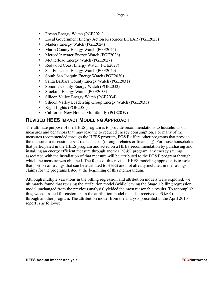- Fresno Energy Watch (PGE2021)
- Local Government Energy Action Resources LGEAR (PGE2023)
- Madera Energy Watch (PGE2024)
- Marin County Energy Watch (PGE2025)
- Merced/Atwater Energy Watch (PGE2026)
- Motherload Energy Watch (PGE2027)
- Redwood Coast Energy Watch (PGE2028)
- San Francisco Energy Watch (PGE2029)
- South San Joaquin Energy Watch (PGE2030)
- Santa Barbara County Energy Watch (PGE2031)
- Sonoma County Energy Watch (PGE2032)
- Stockton Energy Watch (PGE2033)
- Silicon Valley Energy Watch (PGE2034)
- Silicon Valley Leadership Group Energy Watch (PGE2035)
- Right Lights (PGE2051)
- California New Homes Multifamily (PGE2059)

## **REVISED HEES IMPACT MODELING APPROACH**

The ultimate purpose of the HEES program is to provide recommendations to households on measures and behaviors that may lead the to reduced energy consumption. For many of the measures recommended through the HEES program, PG&E offers other programs that provide the measure to its customers at reduced cost (through rebates or financing). For those households that participated in the HEES program and acted on a HEES recommendation by purchasing and installing an energy efficient measure through another PG&E program, any energy savings associated with the installation of that measure will be attributed to the PG&E program through which the measure was obtained. The focus of this revised HEES modeling approach is to isolate that portion of savings that can be attributed to HEES and not already included in the savings claims for the programs listed at the beginning of this memorandum.

Although multiple variations in the billing regression and attribution models were explored, we ultimately found that revising the attribution model (while leaving the Stage 1 billing regression model unchanged from the previous analysis) yielded the most reasonable results. To accomplish this, we controlled for customers in the attribution model that also received a PG&E rebate through another program. The attribution model from the analysis presented in the April 2010 report is as follows: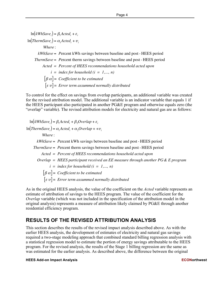$\ln(kWhSave_i) = \beta_1Acted_i + \varepsilon_i$  $\ln (ThermSave_i) = \alpha_1 Acted_i + \nu_i$ *Where* : *kWhSave* = *P*ercent kWh savings between baseline and post - HEES period *ThermSave* = *P*ercent therm savings between baseline and post - HEES period *Acted = Percent of HEES reconmendations household acted upon*  $i = index for household (i = 1,..., n)$  $[\beta \alpha] = Coefficient to be estimated$  $[\varepsilon v] =$  *Error term assummed normally distributed* 

To control for the effect on savings from overlap participants, an additional variable was created for the revised attribution model. The additional variable is an indicator variable that equals 1 if the HEES participant also participated in another PG&E program and otherwise equals zero (the "overlap" variable). The revised attribution models for electricity and natural gas are as follows:

 $\ln(kWhSave_i) = \beta_1Acted_i + \beta_2Overlap + \varepsilon_i$  $\ln (ThermSave_i) = \alpha_1 Acted_i + \alpha_2 Overlap + +v_i$ *Where* : *kWhSave* = *P*ercent kWh savings between baseline and post - HEES period *ThermSave* = *P*ercent therm savings between baseline and post - HEES period *Acted = Percent of HEES reconmendations household acted upon Overlap = HEES participant received an EE measure through another PG& E program*  $i = index for household (i = 1,..., n)$  $[\beta \alpha] = Coefficient to be estimated$  $[\varepsilon \ v] =$  *Error term assummed normally distributed* 

As in the original HEES analysis, the value of the coefficient on the *Acted* variable represents an estimate of attribution of savings to the HEES program. The value of the coefficient for the *Overlap* variable (which was not included in the specification of the attribution model in the original analysis) represents a measure of attribution likely claimed by PG&E through another residential efficiency program.

## **RESULTS OF THE REVISED ATTRIBUTION ANALYSIS**

This section describes the results of the revised impact analysis described above. As with the earlier HEES analysis, the development of estimates of electricity and natural gas savings required a two-stage modeling approach that combined standard billing regression analysis with a statistical regression model to estimate the portion of energy savings attributable to the HEES program. For the revised analysis, the results of the Stage 1 billing regression are the same as was estimated for the earlier analysis. As described above, the difference between the original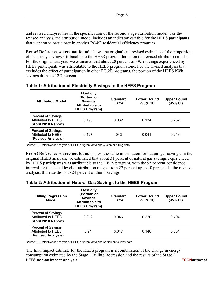and revised analyses lies in the specification of the second-stage attribution model. For the revised analysis, the attribution model includes an indicator variable for the HEES participants that went on to participate in another PG&E residential efficiency program.

**Error! Reference source not found.** shows the original and revised estimates of the proportion of electricity savings attributable to the HEES program based on the revised attribution model. For the original analysis, we estimated that about 20 percent of kWh savings experienced by HEES participants was attributable to the HEES program alone. For the revised analysis that excludes the effect of participation in other PG&E programs, the portion of the HEES kWh savings drops to 12.7 percent.

| <b>Attribution Model</b>                                               | <b>Elasticity</b><br>(Portion of<br><b>Savings</b><br><b>Attributable to</b><br><b>HEES Program)</b> | <b>Standard</b><br>Error | Lower Bound<br>$(95% \text{ Cl})$ | Upper Bound<br>(95% CI) |
|------------------------------------------------------------------------|------------------------------------------------------------------------------------------------------|--------------------------|-----------------------------------|-------------------------|
| <b>Percent of Savings</b><br>Attributed to HEES<br>(April 2010 Report) | 0.198                                                                                                | 0.032                    | 0.134                             | 0.262                   |
| <b>Percent of Savings</b><br>Attributed to HEES<br>(Revised Analysis)  | 0.127                                                                                                | .043                     | 0.041                             | 0.213                   |

## **Table 1: Attribution of Electricity Savings to the HEES Program**

Source: ECONorthwest Analysis of HEES program data and customer billing data

**Error! Reference source not found.** shows the same information for natural gas savings. In the original HEES analysis, we estimated that about 31 percent of natural gas savings experienced by HEES participants was attributable to the HEES program, with the 95 percent confidence interval for the actual level of attribution ranges from 22 percent up to 40 percent. In the revised analysis, this rate drops to 24 percent of therm savings.

### **Table 2: Attribution of Natural Gas Savings to the HEES Program**

| <b>Billing Regression</b><br>Model                                            | <b>Elasticity</b><br>(Portion of<br><b>Savings</b><br><b>Attributable to</b><br><b>HEES Program)</b> | <b>Standard</b><br>Error | <b>Lower Bound</b><br>(95% CI) | <b>Upper Bound</b><br>(95% CI) |
|-------------------------------------------------------------------------------|------------------------------------------------------------------------------------------------------|--------------------------|--------------------------------|--------------------------------|
| <b>Percent of Savings</b><br><b>Attributed to HEES</b><br>(April 2010 Report) | 0.312                                                                                                | 0.046                    | 0.220                          | 0.404                          |
| <b>Percent of Savings</b><br><b>Attributed to HEES</b><br>(Revised Analysis)  | 0.24                                                                                                 | 0.047                    | 0.146                          | 0.334                          |

Source: ECONorthwest Analysis of HEES program data and participant survey data

**HEES Add-on Impact Analysis ECONorthwest** The final impact estimate for the HEES program is a combination of the change in energy consumption estimated by the Stage 1 Billing Regression and the results of the Stage 2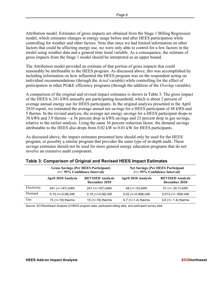Attribution model. Estimates of gross impacts are obtained from the Stage 1 Billing Regression model, which estimates changes in energy usage before and after HEES participation while controlling for weather and other factors. Note that since we had limited information on other factors that could be affecting energy use, we were only able to control for a few factors in the model using weather data and a general time trend variable. As a consequence, the estimate of gross impacts from the Stage 1 model should be interpreted as an upper bound.

The Attribution model provided an estimate of that portion of gross impacts that could reasonably be attributable to the HEES program. As discussed above, this was accomplished by including information on how influential the HEES program was on the respondent acting on individual recommendations (through the *Acted* variable) while controlling for the effect of participation in other PG&E efficiency programs (through the addition of the *Overlap* variable).

A comparison of the original and revised impact estimates is shown in Table 3. The gross impact of the HEES is 241 kWh annually per participating household, which is about 2 percent of average annual energy use for HEES participants. In the original analysis presented in the April 2010 report, we estimated the average annual net savings for a HEES participant of 48 kWh and 5 therms. In the revised analysis, the average net energy savings for a HEES participant drops to 30 kWh and 3.9 therms—a 36 percent drop in kWh savings and 23 percent drop in gas savings, relative to the earlier analysis. Using the same 36 percent reduction factor, the demand savings attributable to the HEES also drops from 0.02 kW to 0.01 kW for HEES participants.

As discussed above, the impact estimates presented here should only be used for the HEES program, or possibly a similar program that provides the same type of in-depth audit. These savings estimates should not be used for more general energy education programs that do not involve an extensive audit component.

|             | <b>Gross Savings (Per HEES Participant)</b><br>(+/- 95% Confidence Interval) |                                          | <b>Net Savings (Per HEES Participant</b><br>(+/- 95% Confidence Interval) |                                          |
|-------------|------------------------------------------------------------------------------|------------------------------------------|---------------------------------------------------------------------------|------------------------------------------|
|             | <b>April 2010 Analysis</b>                                                   | <b>REVISED Analysis</b><br>December 2010 | <b>April 2010 Analysis</b>                                                | <b>REVISED Analysis</b><br>December 2010 |
| Electricity | 241 (+/-147) kWh                                                             | 241 (+/-147) kWh                         | 48 (+/-15) kWh                                                            | 31 (+/- 20.7) kWh                        |
| Demand      | $0.10$ (+/-0.06) kW                                                          | $0.10$ (+/-0.06) kW                      | $0.02$ (+/-0.006) kW                                                      | 0.013 (+/- 009) kW                       |
| Gas         | $15$ (+/-19) therms                                                          | $15$ (+/-19) therms                      | 4.7 $(+/-1.4)$ therms                                                     | $3.6$ (+/- 1.4) therms                   |

### **Table 3: Comparison of Original and Revised HEES Impact Estimates**

Source: ECONorthwest Analysis of HEES program data, participant billing data, and participant survey data